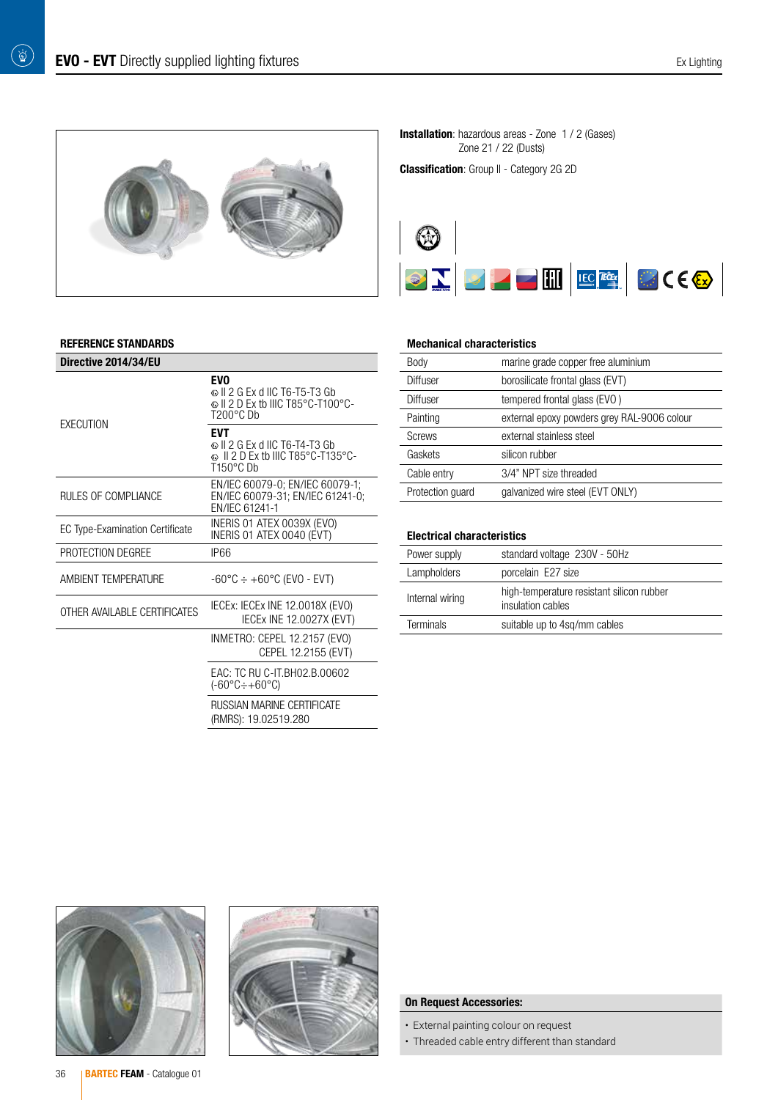$\begin{pmatrix} \overrightarrow{p} \ \overrightarrow{p} \end{pmatrix}$ 



#### REFERENCE STANDARDS

| Directive 2014/34/EU                   |                                                                                                         |  |  |
|----------------------------------------|---------------------------------------------------------------------------------------------------------|--|--|
| EXECUTION                              | <b>EVO</b><br>© II 2 G Ex d IIC T6-T5-T3 Gb<br>© II 2 D Ex tb IIIC T85°C-T100°C-<br>$T200^{\circ}$ CDb  |  |  |
|                                        | <b>FVT</b><br>ல II 2 G Ex d IIC T6-T4-T3 Gb<br>© II 2 D Ex tb IIIC T85°C-T135°C-<br>$T150^{\circ}$ C Dh |  |  |
| RULES OF COMPLIANCE                    | EN/IEC 60079-0; EN/IEC 60079-1;<br>EN/IEC 60079-31; EN/IEC 61241-0;<br>FN/IFC 61241-1                   |  |  |
| <b>EC Type-Examination Certificate</b> | INERIS 01 ATEX 0039X (EVO)<br>INERIS 01 ATEX 0040 (EVT)                                                 |  |  |
| PROTECTION DEGREE                      | <b>IP66</b>                                                                                             |  |  |
| AMBIFNT TFMPFRATURF                    | $-60^{\circ}$ C $\div$ $+60^{\circ}$ C (EVO - EVT)                                                      |  |  |
| OTHER AVAILABLE CERTIFICATES           | IECEX: IECEX INE 12.0018X (EVO)<br><b>IECEX INE 12.0027X (EVT)</b>                                      |  |  |
|                                        | INMETRO: CEPEL 12.2157 (EVO)<br>CEPEL 12.2155 (EVT)                                                     |  |  |
|                                        | EAC: TC RU C-IT.BH02.B.00602<br>$(-60^{\circ}C \div +60^{\circ}C)$                                      |  |  |
|                                        | RUSSIAN MARINE CERTIFICATE<br>(RMRS): 19.02519.280                                                      |  |  |

**Installation**: hazardous areas - Zone 1 / 2 (Gases) Zone 21 / 22 (Dusts)

**Classification**: Group II - Category 2G 2D



#### Mechanical characteristics

| Body             | marine grade copper free aluminium          |
|------------------|---------------------------------------------|
| Diffuser         | borosilicate frontal glass (EVT)            |
| Diffuser         | tempered frontal glass (EVO)                |
| Painting         | external epoxy powders grey RAL-9006 colour |
| <b>Screws</b>    | external stainless steel                    |
| Gaskets          | silicon rubber                              |
| Cable entry      | 3/4" NPT size threaded                      |
| Protection quard | galvanized wire steel (EVT ONLY)            |

#### Electrical characteristics

| Power supply     | standard voltage 230V - 50Hz                                   |
|------------------|----------------------------------------------------------------|
| Lampholders      | porcelain E27 size                                             |
| Internal wiring  | high-temperature resistant silicon rubber<br>insulation cables |
| <b>Terminals</b> | suitable up to 4sg/mm cables                                   |
|                  |                                                                |





### On Request Accessories:

- External painting colour on request
- Threaded cable entry different than standard